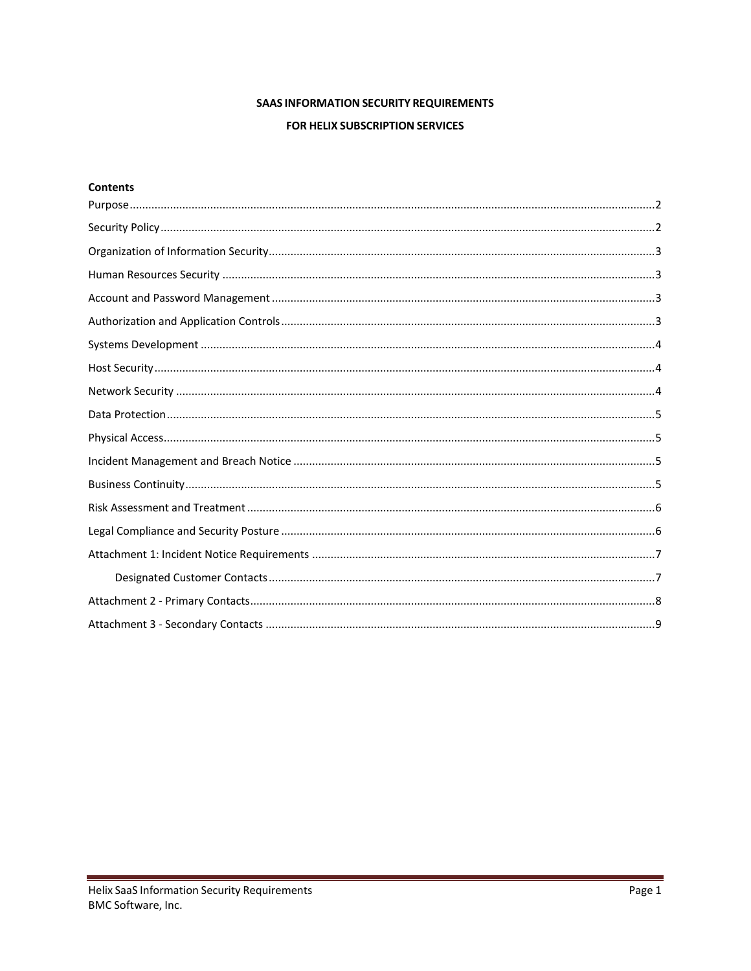# **SAAS INFORMATION SECURITY REQUIREMENTS**

## FOR HELIX SUBSCRIPTION SERVICES

### **Contents**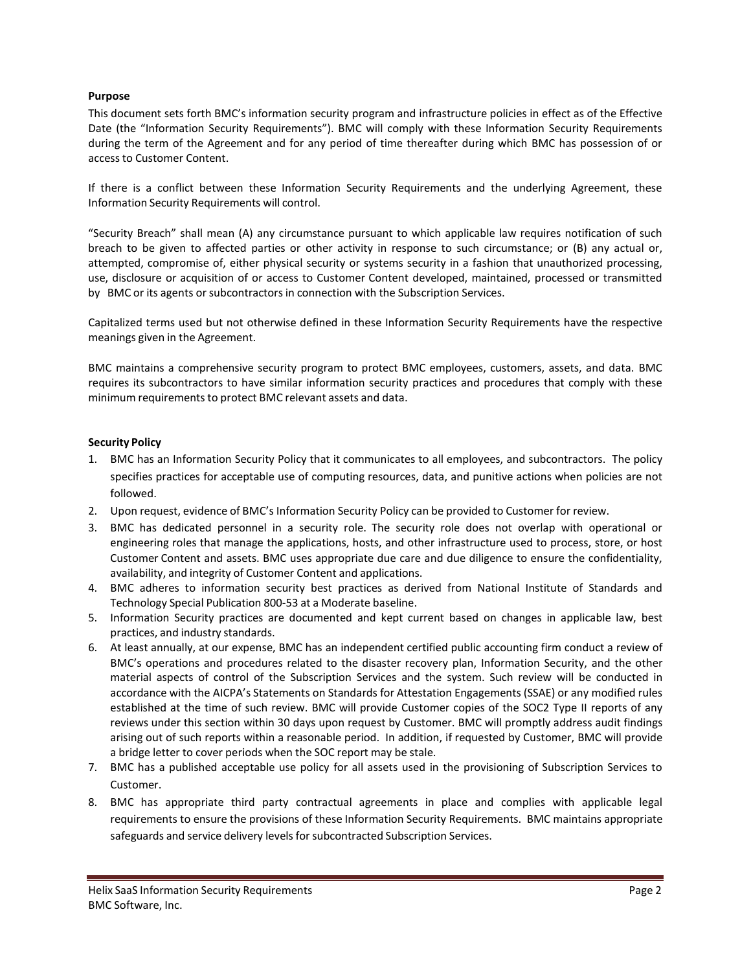#### <span id="page-1-0"></span>**Purpose**

This document sets forth BMC's information security program and infrastructure policies in effect as of the Effective Date (the "Information Security Requirements"). BMC will comply with these Information Security Requirements during the term of the Agreement and for any period of time thereafter during which BMC has possession of or accessto Customer Content.

If there is a conflict between these Information Security Requirements and the underlying Agreement, these Information Security Requirements will control.

"Security Breach" shall mean (A) any circumstance pursuant to which applicable law requires notification of such breach to be given to affected parties or other activity in response to such circumstance; or (B) any actual or, attempted, compromise of, either physical security or systems security in a fashion that unauthorized processing, use, disclosure or acquisition of or access to Customer Content developed, maintained, processed or transmitted by BMC or its agents or subcontractors in connection with the Subscription Services.

Capitalized terms used but not otherwise defined in these Information Security Requirements have the respective meanings given in the Agreement.

BMC maintains a comprehensive security program to protect BMC employees, customers, assets, and data. BMC requires its subcontractors to have similar information security practices and procedures that comply with these minimum requirements to protect BMC relevant assets and data.

#### <span id="page-1-1"></span>**Security Policy**

- 1. BMC has an Information Security Policy that it communicates to all employees, and subcontractors. The policy specifies practices for acceptable use of computing resources, data, and punitive actions when policies are not followed.
- 2. Upon request, evidence of BMC's Information Security Policy can be provided to Customer for review.
- 3. BMC has dedicated personnel in a security role. The security role does not overlap with operational or engineering roles that manage the applications, hosts, and other infrastructure used to process, store, or host Customer Content and assets. BMC uses appropriate due care and due diligence to ensure the confidentiality, availability, and integrity of Customer Content and applications.
- 4. BMC adheres to information security best practices as derived from National Institute of Standards and Technology Special Publication 800-53 at a Moderate baseline.
- 5. Information Security practices are documented and kept current based on changes in applicable law, best practices, and industry standards.
- 6. At least annually, at our expense, BMC has an independent certified public accounting firm conduct a review of BMC's operations and procedures related to the disaster recovery plan, Information Security, and the other material aspects of control of the Subscription Services and the system. Such review will be conducted in accordance with the AICPA's Statements on Standards for Attestation Engagements (SSAE) or any modified rules established at the time of such review. BMC will provide Customer copies of the SOC2 Type II reports of any reviews under this section within 30 days upon request by Customer. BMC will promptly address audit findings arising out of such reports within a reasonable period. In addition, if requested by Customer, BMC will provide a bridge letter to cover periods when the SOC report may be stale.
- 7. BMC has a published acceptable use policy for all assets used in the provisioning of Subscription Services to Customer.
- 8. BMC has appropriate third party contractual agreements in place and complies with applicable legal requirements to ensure the provisions of these Information Security Requirements. BMC maintains appropriate safeguards and service delivery levels for subcontracted Subscription Services.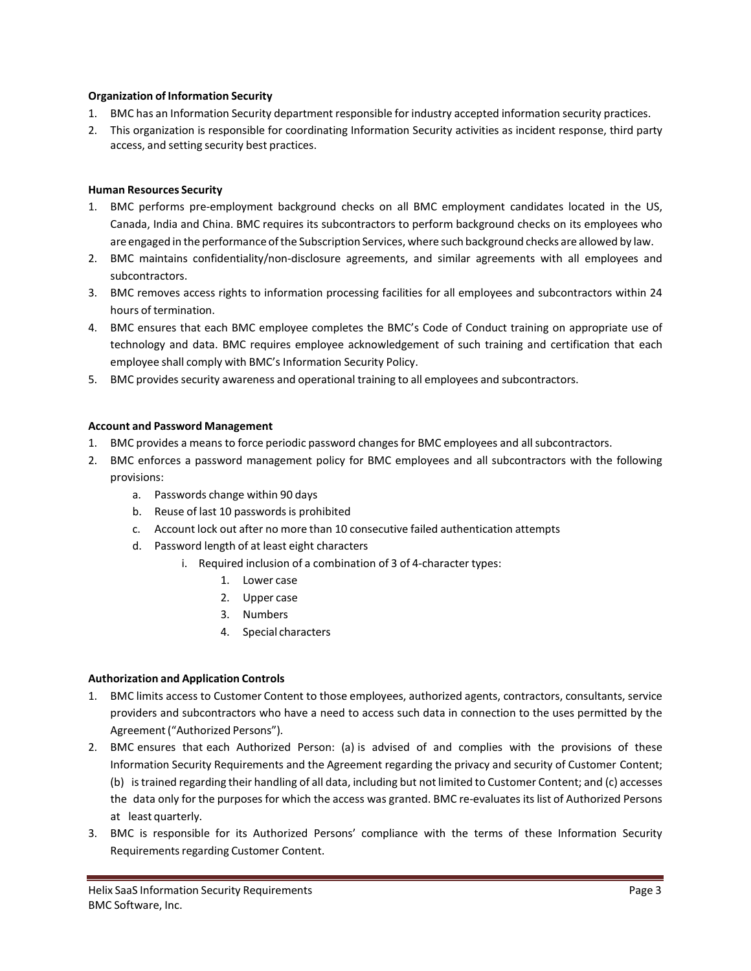### <span id="page-2-0"></span>**Organization of Information Security**

- 1. BMC has an Information Security department responsible for industry accepted information security practices.
- <span id="page-2-1"></span>2. This organization is responsible for coordinating Information Security activities as incident response, third party access, and setting security best practices.

### **Human Resources Security**

- 1. BMC performs pre-employment background checks on all BMC employment candidates located in the US, Canada, India and China. BMC requires its subcontractors to perform background checks on its employees who are engaged in the performance ofthe Subscription Services, where such background checks are allowed by law.
- 2. BMC maintains confidentiality/non-disclosure agreements, and similar agreements with all employees and subcontractors.
- 3. BMC removes access rights to information processing facilities for all employees and subcontractors within 24 hours of termination.
- 4. BMC ensures that each BMC employee completes the BMC's Code of Conduct training on appropriate use of technology and data. BMC requires employee acknowledgement of such training and certification that each employee shall comply with BMC's Information Security Policy.
- 5. BMC provides security awareness and operational training to all employees and subcontractors.

#### <span id="page-2-2"></span>**Account and Password Management**

- 1. BMC provides a means to force periodic password changesfor BMC employees and allsubcontractors.
- 2. BMC enforces a password management policy for BMC employees and all subcontractors with the following provisions:
	- a. Passwords change within 90 days
	- b. Reuse of last 10 passwords is prohibited
	- c. Account lock out after no more than 10 consecutive failed authentication attempts
	- d. Password length of at least eight characters
		- i. Required inclusion of a combination of 3 of 4-character types:
			- 1. Lower case
			- 2. Upper case
			- 3. Numbers
			- 4. Special characters

#### <span id="page-2-3"></span>**Authorization and Application Controls**

- 1. BMC limits access to Customer Content to those employees, authorized agents, contractors, consultants, service providers and subcontractors who have a need to access such data in connection to the uses permitted by the Agreement("Authorized Persons").
- 2. BMC ensures that each Authorized Person: (a) is advised of and complies with the provisions of these Information Security Requirements and the Agreement regarding the privacy and security of Customer Content; (b) istrained regarding their handling of all data, including but not limited to Customer Content; and (c) accesses the data only for the purposes for which the access was granted. BMC re-evaluates its list of Authorized Persons at least quarterly.
- 3. BMC is responsible for its Authorized Persons' compliance with the terms of these Information Security Requirements regarding Customer Content.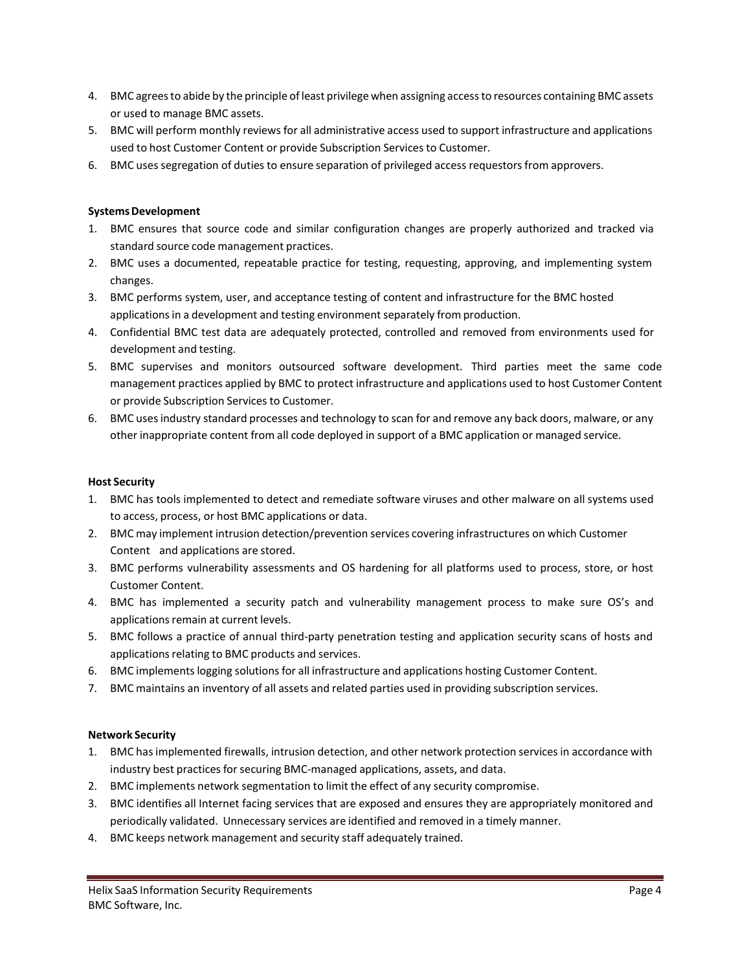- 4. BMC agreesto abide by the principle of least privilege when assigning accessto resources containing BMC assets or used to manage BMC assets.
- 5. BMC will perform monthly reviews for all administrative access used to support infrastructure and applications used to host Customer Content or provide Subscription Services to Customer.
- 6. BMC uses segregation of duties to ensure separation of privileged access requestors from approvers.

### <span id="page-3-0"></span>**Systems Development**

- 1. BMC ensures that source code and similar configuration changes are properly authorized and tracked via standard source code management practices.
- 2. BMC uses a documented, repeatable practice for testing, requesting, approving, and implementing system changes.
- 3. BMC performs system, user, and acceptance testing of content and infrastructure for the BMC hosted applications in a development and testing environment separately from production.
- 4. Confidential BMC test data are adequately protected, controlled and removed from environments used for development and testing.
- 5. BMC supervises and monitors outsourced software development. Third parties meet the same code management practices applied by BMC to protect infrastructure and applications used to host Customer Content or provide Subscription Services to Customer.
- 6. BMC usesindustry standard processes and technology to scan for and remove any back doors, malware, or any other inappropriate content from all code deployed in support of a BMC application or managed service.

#### <span id="page-3-1"></span>**Host Security**

- 1. BMC has tools implemented to detect and remediate software viruses and other malware on all systems used to access, process, or host BMC applications or data.
- 2. BMC may implement intrusion detection/prevention services covering infrastructures on which Customer Content and applications are stored.
- 3. BMC performs vulnerability assessments and OS hardening for all platforms used to process, store, or host Customer Content.
- 4. BMC has implemented a security patch and vulnerability management process to make sure OS's and applications remain at current levels.
- 5. BMC follows a practice of annual third-party penetration testing and application security scans of hosts and applications relating to BMC products and services.
- 6. BMC implementslogging solutionsfor all infrastructure and applications hosting Customer Content.
- 7. BMC maintains an inventory of all assets and related parties used in providing subscription services.

#### <span id="page-3-2"></span>**Network Security**

- 1. BMC hasimplemented firewalls, intrusion detection, and other network protection servicesin accordance with industry best practices for securing BMC-managed applications, assets, and data.
- 2. BMC implements network segmentation to limit the effect of any security compromise.
- 3. BMC identifies all Internet facing services that are exposed and ensures they are appropriately monitored and periodically validated. Unnecessary services are identified and removed in a timely manner.
- 4. BMC keeps network management and security staff adequately trained.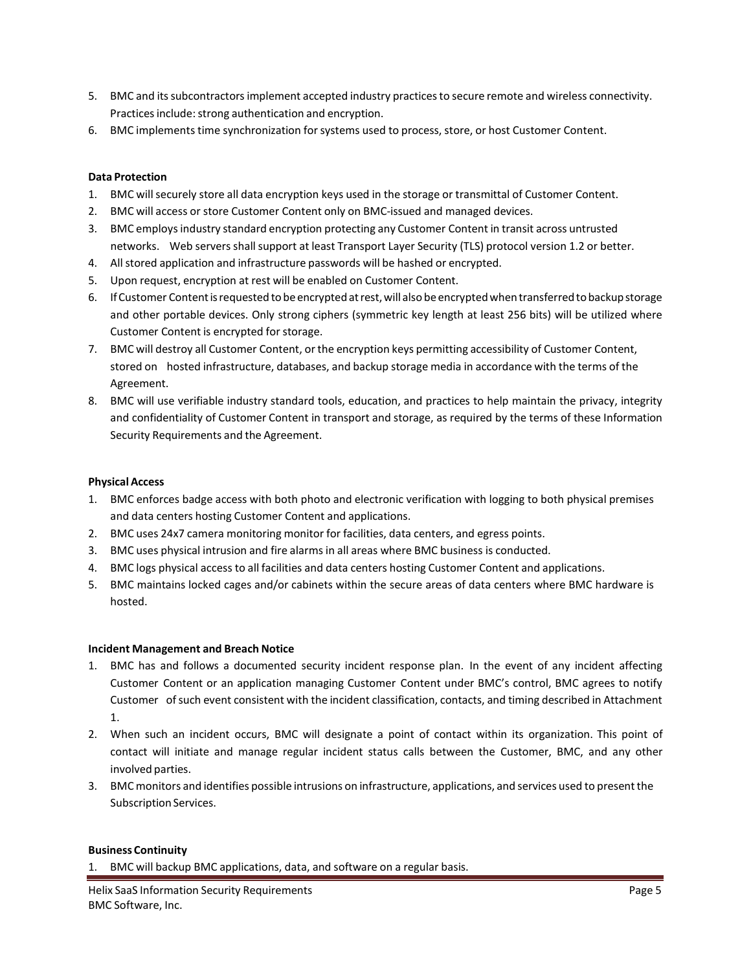- 5. BMC and itssubcontractorsimplement accepted industry practicesto secure remote and wireless connectivity. Practices include: strong authentication and encryption.
- 6. BMC implements time synchronization forsystems used to process, store, or host Customer Content.

#### <span id="page-4-0"></span>**Data Protection**

- 1. BMC will securely store all data encryption keys used in the storage or transmittal of Customer Content.
- 2. BMC will access or store Customer Content only on BMC-issued and managed devices.
- 3. BMC employsindustry standard encryption protecting any Customer Content in transit across untrusted networks. Web servers shall support at least Transport Layer Security (TLS) protocol version 1.2 or better.
- 4. Allstored application and infrastructure passwords will be hashed or encrypted.
- 5. Upon request, encryption at rest will be enabled on Customer Content.
- 6. IfCustomer Contentisrequested to beencryptedatrest,will also beencryptedwhentransferredtobackupstorage and other portable devices. Only strong ciphers (symmetric key length at least 256 bits) will be utilized where Customer Content is encrypted for storage.
- 7. BMC will destroy all Customer Content, orthe encryption keys permitting accessibility of Customer Content, stored on hosted infrastructure, databases, and backup storage media in accordance with the terms of the Agreement.
- 8. BMC will use verifiable industry standard tools, education, and practices to help maintain the privacy, integrity and confidentiality of Customer Content in transport and storage, as required by the terms of these Information Security Requirements and the Agreement.

#### <span id="page-4-1"></span>**Physical Access**

- 1. BMC enforces badge access with both photo and electronic verification with logging to both physical premises and data centers hosting Customer Content and applications.
- 2. BMC uses 24x7 camera monitoring monitor for facilities, data centers, and egress points.
- 3. BMC uses physical intrusion and fire alarms in all areas where BMC business is conducted.
- 4. BMC logs physical access to all facilities and data centers hosting Customer Content and applications.
- 5. BMC maintains locked cages and/or cabinets within the secure areas of data centers where BMC hardware is hosted.

#### <span id="page-4-2"></span>**Incident Management and Breach Notice**

- 1. BMC has and follows a documented security incident response plan. In the event of any incident affecting Customer Content or an application managing Customer Content under BMC's control, BMC agrees to notify Customer ofsuch event consistent with the incident classification, contacts, and timing described in Attachment 1.
- 2. When such an incident occurs, BMC will designate a point of contact within its organization. This point of contact will initiate and manage regular incident status calls between the Customer, BMC, and any other involved parties.
- 3. BMCmonitors and identifies possible intrusions on infrastructure, applications, and services used to presentthe Subscription Services.

#### <span id="page-4-3"></span>**Business Continuity**

1. BMC will backup BMC applications, data, and software on a regular basis.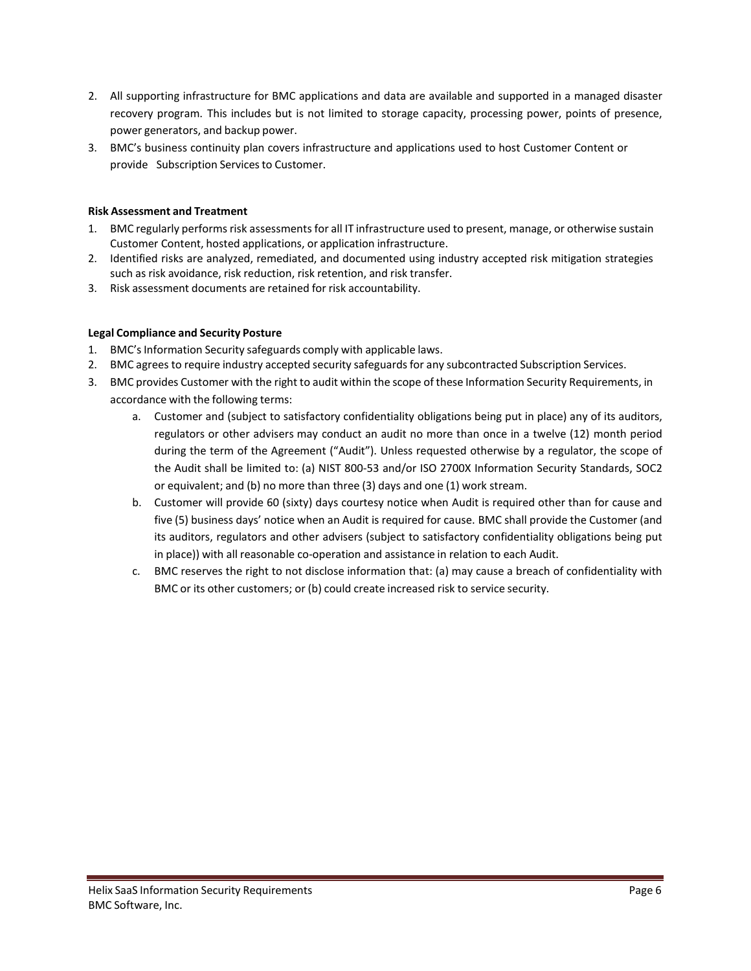- 2. All supporting infrastructure for BMC applications and data are available and supported in a managed disaster recovery program. This includes but is not limited to storage capacity, processing power, points of presence, power generators, and backup power.
- 3. BMC's business continuity plan covers infrastructure and applications used to host Customer Content or provide Subscription Services to Customer.

## <span id="page-5-0"></span>**Risk Assessment and Treatment**

- 1. BMC regularly performs risk assessments for all IT infrastructure used to present, manage, or otherwise sustain Customer Content, hosted applications, or application infrastructure.
- 2. Identified risks are analyzed, remediated, and documented using industry accepted risk mitigation strategies such as risk avoidance, risk reduction, risk retention, and risk transfer.
- <span id="page-5-1"></span>3. Risk assessment documents are retained for risk accountability.

## **Legal Compliance and Security Posture**

- 1. BMC's Information Security safeguards comply with applicable laws.
- 2. BMC agrees to require industry accepted security safeguards for any subcontracted Subscription Services.
- 3. BMC provides Customer with the right to audit within the scope of these Information Security Requirements, in accordance with the following terms:
	- a. Customer and (subject to satisfactory confidentiality obligations being put in place) any of its auditors, regulators or other advisers may conduct an audit no more than once in a twelve (12) month period during the term of the Agreement ("Audit"). Unless requested otherwise by a regulator, the scope of the Audit shall be limited to: (a) NIST 800-53 and/or ISO 2700X Information Security Standards, SOC2 or equivalent; and (b) no more than three (3) days and one (1) work stream.
	- b. Customer will provide 60 (sixty) days courtesy notice when Audit is required other than for cause and five (5) business days' notice when an Audit is required for cause. BMC shall provide the Customer (and its auditors, regulators and other advisers (subject to satisfactory confidentiality obligations being put in place)) with all reasonable co-operation and assistance in relation to each Audit.
	- c. BMC reserves the right to not disclose information that: (a) may cause a breach of confidentiality with BMC or its other customers; or (b) could create increased risk to service security.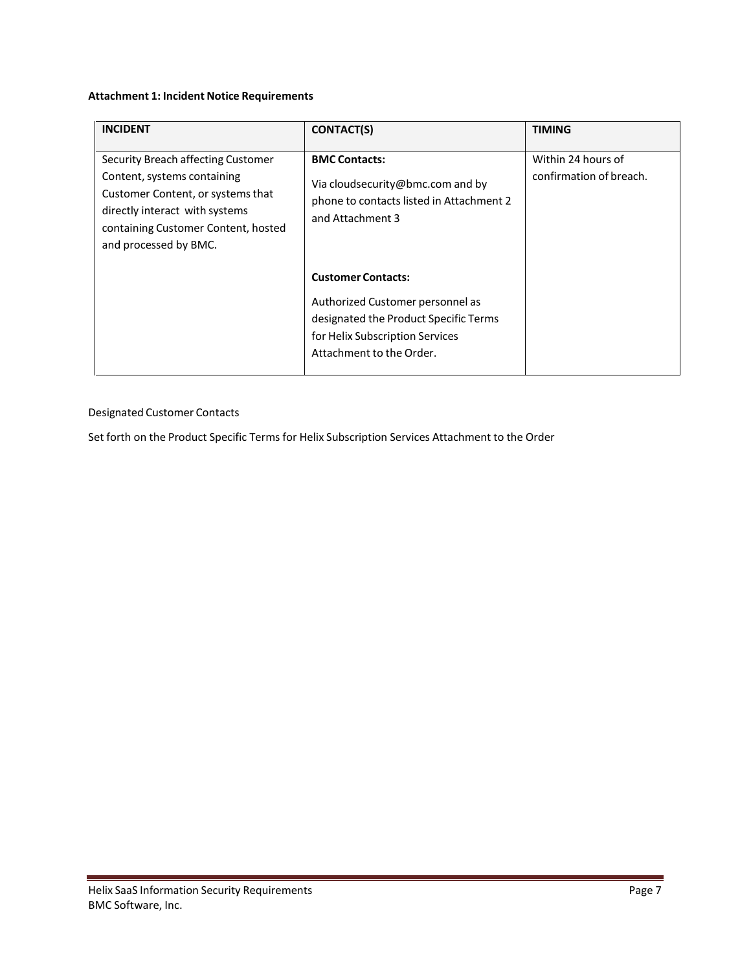## <span id="page-6-0"></span>**Attachment 1: Incident Notice Requirements**

| <b>INCIDENT</b>                                                                                                                                                                                          | <b>CONTACT(S)</b>                                                                                                                                                     | <b>TIMING</b>                                 |
|----------------------------------------------------------------------------------------------------------------------------------------------------------------------------------------------------------|-----------------------------------------------------------------------------------------------------------------------------------------------------------------------|-----------------------------------------------|
| Security Breach affecting Customer<br>Content, systems containing<br>Customer Content, or systems that<br>directly interact with systems<br>containing Customer Content, hosted<br>and processed by BMC. | <b>BMC Contacts:</b><br>Via cloudsecurity@bmc.com and by<br>phone to contacts listed in Attachment 2<br>and Attachment 3                                              | Within 24 hours of<br>confirmation of breach. |
|                                                                                                                                                                                                          | <b>Customer Contacts:</b><br>Authorized Customer personnel as<br>designated the Product Specific Terms<br>for Helix Subscription Services<br>Attachment to the Order. |                                               |

## <span id="page-6-1"></span>Designated Customer Contacts

Set forth on the Product Specific Terms for Helix Subscription Services Attachment to the Order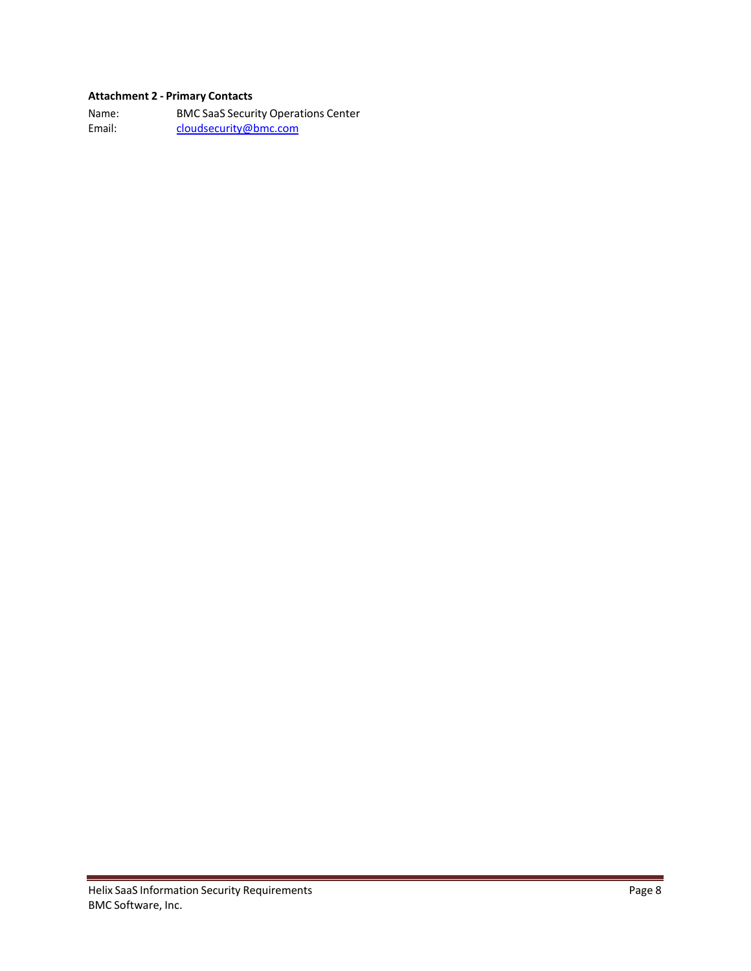# <span id="page-7-0"></span>**Attachment 2 - Primary Contacts**

Name: BMC SaaS Security Operations Center Email: [cloudsecurity@bmc.com](mailto:cloudsecurity@bmc.com)